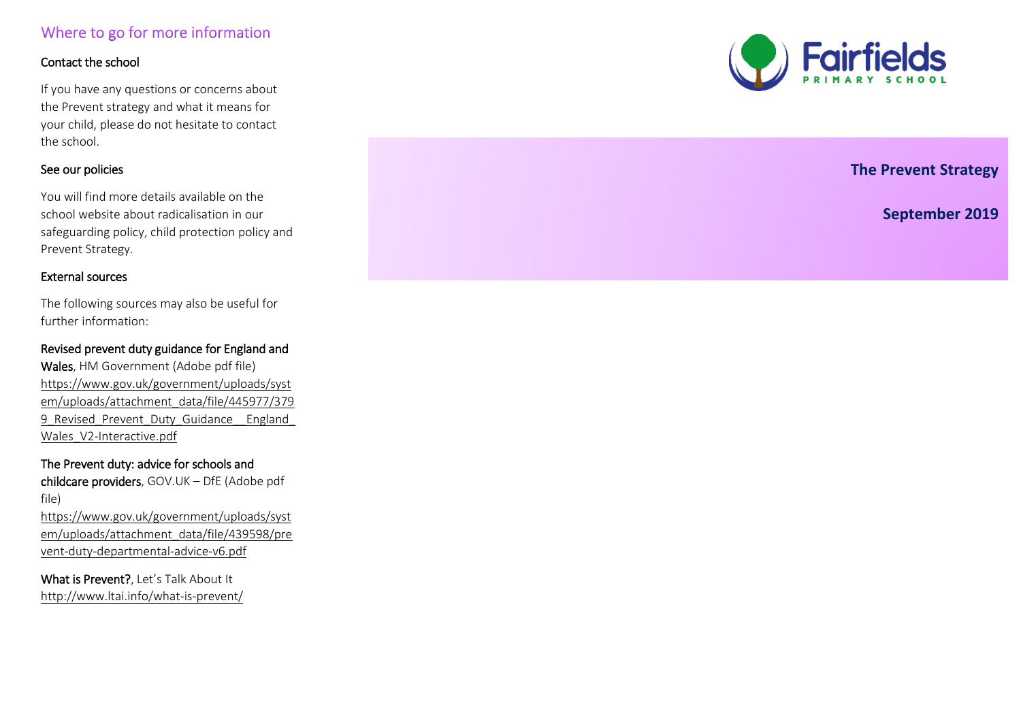# Where to go for more information

## Contact the school

If you have any questions or concerns about the Prevent strategy and what it means for your child, please do not hesitate to contact the school.

## See our policies

**.**  You will find more details available on the school website about radicalisation in our safeguarding policy, child protection policy and Prevent Strategy.

#### External sources

The following sources may also be useful for further information:

Revised prevent duty guidance for England and Wales, HM Government (Adobe pdf file) [https://www.gov.uk/government/uploads/syst](https://www.gov.uk/government/uploads/system/uploads/attachment_data/file/445977/3799_Revised_Prevent_Duty_Guidance__England_Wales_V2-Interactive.pdf) [em/uploads/attachment\\_data/file/445977/379](https://www.gov.uk/government/uploads/system/uploads/attachment_data/file/445977/3799_Revised_Prevent_Duty_Guidance__England_Wales_V2-Interactive.pdf) 9 Revised Prevent Duty Guidance England Wales\_V2-Interactive.pdf

## The Prevent duty: advice for schools and

childcare providers, GOV.UK – DfE (Adobe pdf file)

[https://www.gov.uk/government/uploads/syst](https://www.gov.uk/government/uploads/system/uploads/attachment_data/file/439598/prevent-duty-departmental-advice-v6.pdf) [em/uploads/attachment\\_data/file/439598/pre](https://www.gov.uk/government/uploads/system/uploads/attachment_data/file/439598/prevent-duty-departmental-advice-v6.pdf) [vent-duty-departmental-advice-v6.pdf](https://www.gov.uk/government/uploads/system/uploads/attachment_data/file/439598/prevent-duty-departmental-advice-v6.pdf) 

What is Prevent?, Let's Talk About It <http://www.ltai.info/what-is-prevent/>



 **The Prevent Strategy** 

**September 2019**